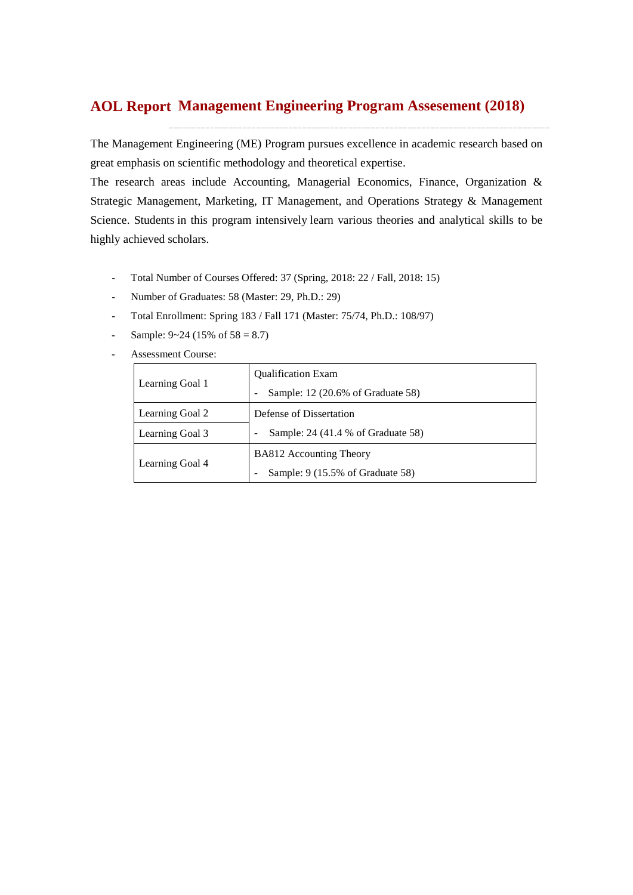# **Management Engineering Program Assesement (2018) AOL Report**

The Management Engineering (ME) Program pursues excellence in academic research based on great emphasis on scientific methodology and theoretical expertise.

The research areas include Accounting, Managerial Economics, Finance, Organization & Strategic Management, Marketing, IT Management, and Operations Strategy & Management Science. Students in this program intensively learn various theories and analytical skills to be highly achieved scholars.

- Total Number of Courses Offered: 37 (Spring, 2018: 22 / Fall, 2018: 15)
- Number of Graduates: 58 (Master: 29, Ph.D.: 29)
- Total Enrollment: Spring 183 / Fall 171 (Master: 75/74, Ph.D.: 108/97)
- Sample:  $9~24$  (15% of  $58 = 8.7$ )
- Assessment Course:

|                 | <b>Qualification Exam</b>          |  |  |  |  |  |
|-----------------|------------------------------------|--|--|--|--|--|
| Learning Goal 1 | Sample: 12 (20.6% of Graduate 58)  |  |  |  |  |  |
| Learning Goal 2 | Defense of Dissertation            |  |  |  |  |  |
| Learning Goal 3 | Sample: 24 (41.4 % of Graduate 58) |  |  |  |  |  |
|                 | <b>BA812 Accounting Theory</b>     |  |  |  |  |  |
| Learning Goal 4 | Sample: 9 (15.5% of Graduate 58)   |  |  |  |  |  |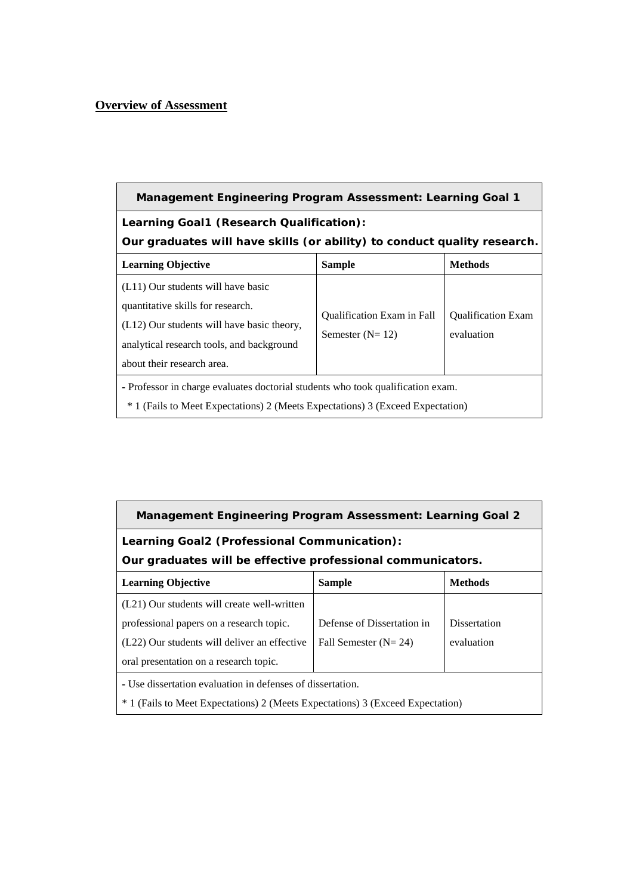# **Overview of Assessment**

| <b>Management Engineering Program Assessment: Learning Goal 1</b>                                                                                                                                  |                                                        |                                         |  |  |  |  |  |
|----------------------------------------------------------------------------------------------------------------------------------------------------------------------------------------------------|--------------------------------------------------------|-----------------------------------------|--|--|--|--|--|
| Learning Goal1 (Research Qualification):<br>Our graduates will have skills (or ability) to conduct quality research.                                                                               |                                                        |                                         |  |  |  |  |  |
| <b>Learning Objective</b><br><b>Sample</b><br><b>Methods</b>                                                                                                                                       |                                                        |                                         |  |  |  |  |  |
| (L11) Our students will have basic<br>quantitative skills for research.<br>$(L12)$ Our students will have basic theory,<br>analytical research tools, and background<br>about their research area. | <b>Oualification Exam in Fall</b><br>Semester $(N=12)$ | <b>Oualification Exam</b><br>evaluation |  |  |  |  |  |
| - Professor in charge evaluates doctorial students who took qualification exam.<br><sup>*</sup> 1 (Fails to Meet Expectations) 2 (Meets Expectations) 3 (Exceed Expectation)                       |                                                        |                                         |  |  |  |  |  |

| <b>Management Engineering Program Assessment: Learning Goal 2</b>                         |                                      |              |  |  |  |  |  |  |
|-------------------------------------------------------------------------------------------|--------------------------------------|--------------|--|--|--|--|--|--|
| Learning Goal2 (Professional Communication):                                              |                                      |              |  |  |  |  |  |  |
| Our graduates will be effective professional communicators.                               |                                      |              |  |  |  |  |  |  |
| <b>Learning Objective</b><br><b>Sample</b><br><b>Methods</b>                              |                                      |              |  |  |  |  |  |  |
| (L21) Our students will create well-written                                               |                                      |              |  |  |  |  |  |  |
| professional papers on a research topic.                                                  | Defense of Dissertation in           | Dissertation |  |  |  |  |  |  |
| (L22) Our students will deliver an effective                                              | evaluation<br>Fall Semester $(N=24)$ |              |  |  |  |  |  |  |
| oral presentation on a research topic.                                                    |                                      |              |  |  |  |  |  |  |
| - Use dissertation evaluation in defenses of dissertation.                                |                                      |              |  |  |  |  |  |  |
| <sup>*</sup> 1 (Fails to Meet Expectations) 2 (Meets Expectations) 3 (Exceed Expectation) |                                      |              |  |  |  |  |  |  |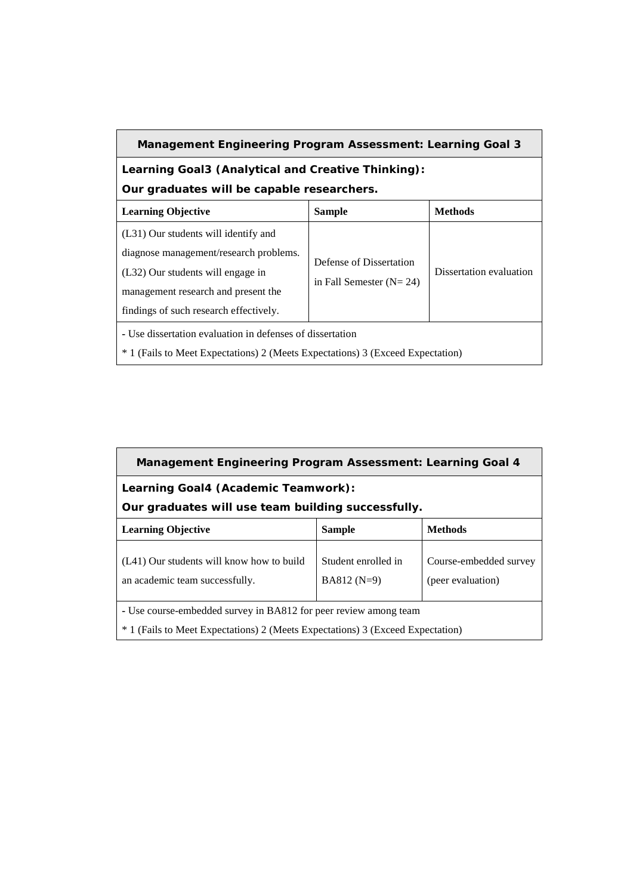## **Management Engineering Program Assessment: Learning Goal 3**

# **Learning Goal3 (Analytical and Creative Thinking): Our graduates will be capable researchers.**

| <b>Learning Objective</b>                                                                                                                                                                            | <b>Sample</b>                                        | <b>Methods</b>          |  |  |  |  |  |
|------------------------------------------------------------------------------------------------------------------------------------------------------------------------------------------------------|------------------------------------------------------|-------------------------|--|--|--|--|--|
| (L31) Our students will identify and<br>diagnose management/research problems.<br>(L32) Our students will engage in<br>management research and present the<br>findings of such research effectively. | Defense of Dissertation<br>in Fall Semester $(N=24)$ | Dissertation evaluation |  |  |  |  |  |
| - Use dissertation evaluation in defenses of dissertation<br><sup>*</sup> 1 (Fails to Meet Expectations) 2 (Meets Expectations) 3 (Exceed Expectation)                                               |                                                      |                         |  |  |  |  |  |

| <b>Management Engineering Program Assessment: Learning Goal 4</b>                                                                                                 |  |  |  |  |  |  |  |  |
|-------------------------------------------------------------------------------------------------------------------------------------------------------------------|--|--|--|--|--|--|--|--|
| Learning Goal4 (Academic Teamwork):<br>Our graduates will use team building successfully.                                                                         |  |  |  |  |  |  |  |  |
| <b>Learning Objective</b><br><b>Sample</b><br><b>Methods</b>                                                                                                      |  |  |  |  |  |  |  |  |
| Student enrolled in<br>(L41) Our students will know how to build<br>Course-embedded survey<br>$BA812(N=9)$<br>(peer evaluation)<br>an academic team successfully. |  |  |  |  |  |  |  |  |
| - Use course-embedded survey in BA812 for peer review among team                                                                                                  |  |  |  |  |  |  |  |  |
| <sup>*</sup> 1 (Fails to Meet Expectations) 2 (Meets Expectations) 3 (Exceed Expectation)                                                                         |  |  |  |  |  |  |  |  |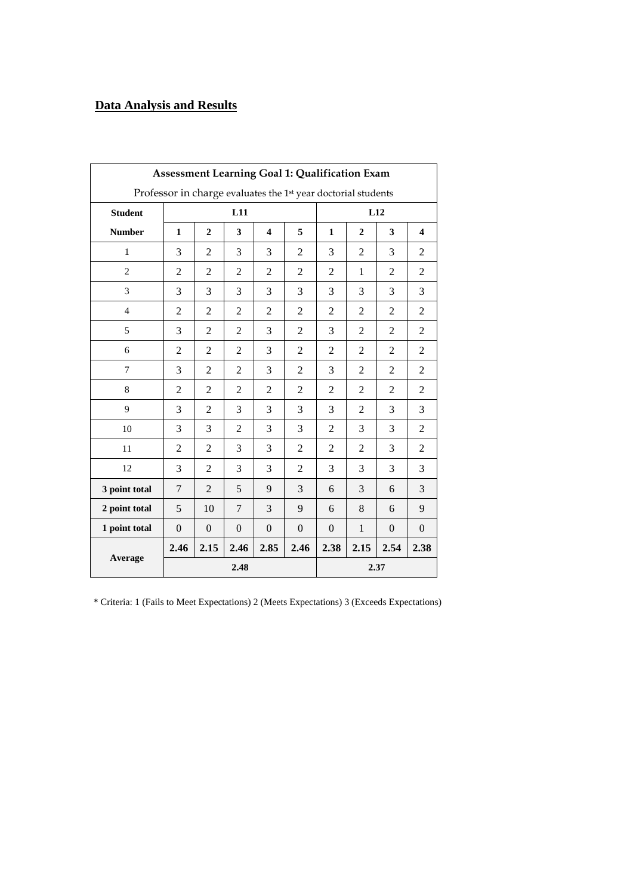# **Data Analysis and Results**

| <b>Assessment Learning Goal 1: Qualification Exam</b>                     |                |                  |                |                         |                |                |                |                |                         |  |
|---------------------------------------------------------------------------|----------------|------------------|----------------|-------------------------|----------------|----------------|----------------|----------------|-------------------------|--|
| Professor in charge evaluates the 1 <sup>st</sup> year doctorial students |                |                  |                |                         |                |                |                |                |                         |  |
| <b>Student</b>                                                            |                |                  | L11            |                         |                |                |                |                |                         |  |
| <b>Number</b>                                                             | $\mathbf{1}$   | $\overline{2}$   | 3              | $\overline{\mathbf{4}}$ | 5              | $\mathbf{1}$   | $\overline{2}$ | 3              | $\overline{\mathbf{4}}$ |  |
| $\mathbf{1}$                                                              | 3              | 2                | 3              | 3                       | $\overline{c}$ | 3              | $\overline{2}$ | 3              | $\overline{c}$          |  |
| $\overline{2}$                                                            | $\overline{2}$ | $\overline{2}$   | $\overline{2}$ | $\overline{2}$          | $\overline{2}$ | $\overline{2}$ | $\mathbf{1}$   | $\overline{2}$ | $\overline{c}$          |  |
| 3                                                                         | 3              | 3                | 3              | 3                       | 3              | 3              | 3              | 3              | 3                       |  |
| $\overline{4}$                                                            | $\overline{2}$ | $\overline{c}$   | 2              | $\overline{2}$          | $\overline{2}$ | $\overline{2}$ | $\overline{2}$ | $\overline{2}$ | $\overline{c}$          |  |
| 5                                                                         | 3              | $\overline{c}$   | 2              | 3                       | $\overline{c}$ | 3              | $\overline{2}$ | $\overline{2}$ | $\overline{c}$          |  |
| 6                                                                         | $\overline{2}$ | $\overline{2}$   | $\overline{2}$ | 3                       | $\overline{c}$ | $\overline{2}$ | $\overline{2}$ | $\overline{2}$ | $\overline{c}$          |  |
| 7                                                                         | 3              | $\overline{c}$   | 2              | 3                       | $\overline{2}$ | 3              | $\overline{2}$ | $\overline{c}$ | $\overline{2}$          |  |
| 8                                                                         | $\overline{2}$ | $\overline{2}$   | $\overline{2}$ | $\overline{2}$          | $\overline{2}$ | $\overline{2}$ | $\overline{2}$ | $\overline{2}$ | $\overline{c}$          |  |
| 9                                                                         | 3              | $\overline{2}$   | 3              | 3                       | 3              | 3              | $\overline{2}$ | 3              | 3                       |  |
| 10                                                                        | 3              | 3                | $\overline{2}$ | 3                       | 3              | $\overline{2}$ | 3              | 3              | 2                       |  |
| 11                                                                        | $\overline{2}$ | 2                | 3              | 3                       | 2              | 2              | $\overline{2}$ | 3              | 2                       |  |
| 12                                                                        | 3              | 2                | 3              | 3                       | $\overline{2}$ | 3              | 3              | 3              | 3                       |  |
| 3 point total                                                             | $\overline{7}$ | $\overline{2}$   | 5              | 9                       | 3              | 6              | 3              | 6              | 3                       |  |
| 2 point total                                                             | 5              | 10               | 7              | 3                       | 9              | 6              | 8              | 6              | 9                       |  |
| 1 point total                                                             | $\overline{0}$ | $\boldsymbol{0}$ | $\overline{0}$ | $\boldsymbol{0}$        | $\overline{0}$ | $\overline{0}$ | $\mathbf{1}$   | $\overline{0}$ | $\theta$                |  |
|                                                                           | 2.46           | 2.15             | 2.46           | 2.85                    | 2.46           | 2.38           | 2.15           | 2.54           | 2.38                    |  |
| Average                                                                   |                |                  | 2.48           |                         |                | 2.37           |                |                |                         |  |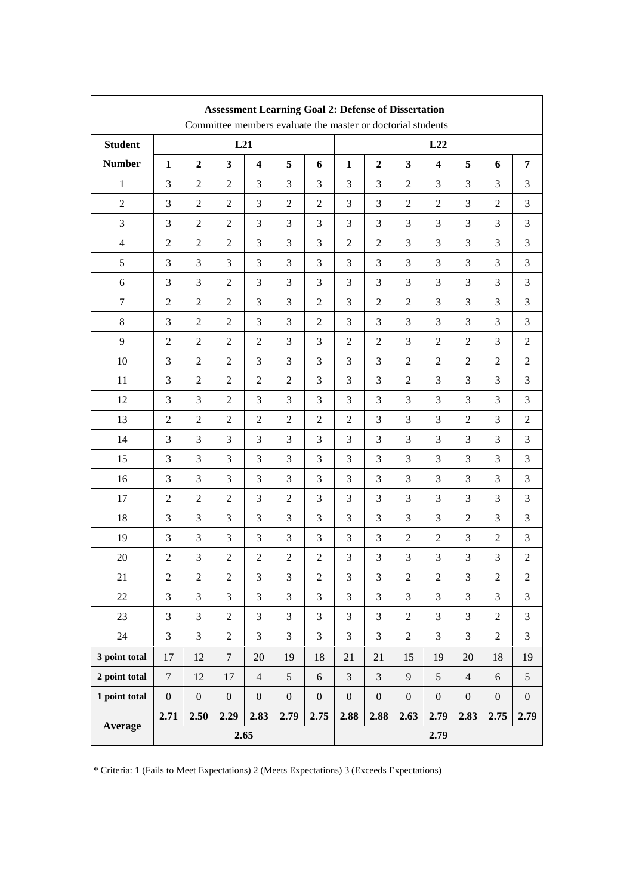|                | <b>Assessment Learning Goal 2: Defense of Dissertation</b><br>Committee members evaluate the master or doctorial students |                  |                  |                         |                  |                  |                  |                             |                  |                         |                  |                  |                  |
|----------------|---------------------------------------------------------------------------------------------------------------------------|------------------|------------------|-------------------------|------------------|------------------|------------------|-----------------------------|------------------|-------------------------|------------------|------------------|------------------|
| <b>Student</b> |                                                                                                                           |                  | L21              |                         |                  |                  |                  |                             |                  | L22                     |                  |                  |                  |
| <b>Number</b>  | $\mathbf{1}$                                                                                                              | $\boldsymbol{2}$ | 3                | $\overline{\mathbf{4}}$ | 5                | 6                | $\mathbf{1}$     | $\overline{2}$              | $\mathbf{3}$     | $\overline{\mathbf{4}}$ | 5                | 6                | 7                |
| $\mathbf{1}$   | 3                                                                                                                         | 2                | $\overline{2}$   | 3                       | 3                | 3                | 3                | 3                           | $\mathfrak{2}$   | 3                       | 3                | 3                | 3                |
| $\mathbf{2}$   | 3                                                                                                                         | 2                | $\overline{c}$   | 3                       | $\overline{c}$   | 2                | 3                | 3                           | $\overline{2}$   | 2                       | 3                | 2                | 3                |
| 3              | 3                                                                                                                         | $\mathbf{2}$     | $\overline{c}$   | 3                       | 3                | 3                | 3                | 3                           | 3                | 3                       | 3                | 3                | 3                |
| $\overline{4}$ | $\mathbf{2}$                                                                                                              | 2                | $\overline{2}$   | 3                       | 3                | 3                | $\overline{2}$   | $\overline{c}$              | 3                | 3                       | 3                | 3                | 3                |
| 5              | 3                                                                                                                         | 3                | 3                | 3                       | 3                | 3                | 3                | 3                           | 3                | 3                       | 3                | 3                | 3                |
| 6              | 3                                                                                                                         | 3                | $\overline{2}$   | 3                       | 3                | 3                | 3                | 3                           | 3                | 3                       | 3                | 3                | 3                |
| $\tau$         | $\mathfrak{2}$                                                                                                            | $\mathbf{2}$     | $\overline{c}$   | 3                       | 3                | $\boldsymbol{2}$ | 3                | $\mathfrak{2}$              | $\mathfrak{2}$   | 3                       | 3                | 3                | 3                |
| 8              | 3                                                                                                                         | $\overline{2}$   | $\overline{c}$   | 3                       | 3                | $\overline{c}$   | 3                | 3                           | 3                | 3                       | 3                | 3                | $\mathfrak{Z}$   |
| 9              | $\overline{2}$                                                                                                            | $\overline{2}$   | $\overline{2}$   | $\mathfrak{2}$          | 3                | 3                | $\overline{2}$   | $\mathfrak{2}$              | 3                | 2                       | 2                | 3                | 2                |
| 10             | 3                                                                                                                         | $\mathbf{2}$     | $\overline{2}$   | 3                       | 3                | 3                | 3                | 3                           | $\overline{2}$   | 2                       | $\overline{c}$   | $\mathfrak{2}$   | $\overline{c}$   |
| 11             | 3                                                                                                                         | $\overline{2}$   | $\overline{2}$   | $\mathfrak{2}$          | $\overline{2}$   | 3                | 3                | 3                           | $\overline{2}$   | 3                       | 3                | 3                | $\mathfrak{Z}$   |
| 12             | 3                                                                                                                         | 3                | $\overline{2}$   | 3                       | 3                | 3                | 3                | 3                           | 3                | 3                       | 3                | 3                | 3                |
| 13             | 2                                                                                                                         | 2                | 2                | 2                       | $\mathfrak{2}$   | $\overline{c}$   | $\overline{c}$   | 3                           | 3                | 3                       | 2                | 3                | $\overline{c}$   |
| 14             | 3                                                                                                                         | 3                | 3                | 3                       | 3                | 3                | 3                | 3                           | 3                | 3                       | 3                | 3                | 3                |
| 15             | 3                                                                                                                         | 3                | 3                | 3                       | 3                | 3                | 3                | 3                           | 3                | 3                       | 3                | 3                | 3                |
| 16             | 3                                                                                                                         | 3                | 3                | 3                       | 3                | 3                | 3                | 3                           | 3                | 3                       | 3                | 3                | 3                |
| 17             | $\mathfrak{2}$                                                                                                            | $\overline{2}$   | $\overline{2}$   | 3                       | $\overline{2}$   | 3                | 3                | 3                           | 3                | 3                       | 3                | 3                | 3                |
| 18             | 3                                                                                                                         | 3                | 3                | 3                       | 3                | 3                | 3                | 3                           | 3                | 3                       | 2                | 3                | 3                |
| 19             | 3                                                                                                                         | 3                | 3                | 3                       | 3                | 3                | 3                | $\mathfrak{Z}$              | $\overline{2}$   | $\mathfrak{2}$          | 3                | 2                | $\mathfrak{Z}$   |
| 20             | $\mathfrak{2}$                                                                                                            | 3                | $\overline{2}$   | $\mathfrak{2}$          | $\overline{c}$   | $\overline{2}$   | 3                | 3                           | 3                | 3                       | 3                | 3                | $\overline{2}$   |
| 21             | $\overline{c}$                                                                                                            | $\boldsymbol{2}$ | $\overline{c}$   | 3                       | $\mathfrak{Z}$   | $\overline{c}$   | $\mathfrak 3$    | $\ensuremath{\mathfrak{Z}}$ | $\mathfrak{2}$   | $\boldsymbol{2}$        | $\mathfrak{Z}$   | $\sqrt{2}$       | $\overline{c}$   |
| 22             | 3                                                                                                                         | 3                | 3                | $\overline{3}$          | 3                | 3                | 3                | 3                           | 3                | 3                       | $\overline{3}$   | 3                | 3                |
| 23             | 3                                                                                                                         | 3                | $\overline{2}$   | 3                       | 3                | 3                | 3                | 3                           | $\overline{2}$   | 3                       | 3                | $\overline{2}$   | $\mathfrak{Z}$   |
| 24             | 3                                                                                                                         | 3                | $\overline{c}$   | 3                       | 3                | 3                | $\mathfrak{Z}$   | 3                           | $\sqrt{2}$       | 3                       | 3                | $\boldsymbol{2}$ | $\mathfrak{Z}$   |
| 3 point total  | 17                                                                                                                        | 12               | $\overline{7}$   | $20\,$                  | 19               | 18               | 21               | 21                          | 15               | 19                      | $20\,$           | 18               | 19               |
| 2 point total  | $\overline{7}$                                                                                                            | 12               | 17               | $\overline{4}$          | 5                | $\sqrt{6}$       | 3                | 3                           | 9                | 5                       | $\overline{4}$   | $\sqrt{6}$       | $\mathfrak s$    |
| 1 point total  | $\boldsymbol{0}$                                                                                                          | $\boldsymbol{0}$ | $\boldsymbol{0}$ | $\boldsymbol{0}$        | $\boldsymbol{0}$ | $\boldsymbol{0}$ | $\boldsymbol{0}$ | $\boldsymbol{0}$            | $\boldsymbol{0}$ | $\boldsymbol{0}$        | $\boldsymbol{0}$ | $\boldsymbol{0}$ | $\boldsymbol{0}$ |
| Average        | 2.71                                                                                                                      | 2.50             | 2.29             | 2.83                    | 2.79             | 2.75             | 2.88             | 2.88                        | 2.63             | 2.79                    | 2.83             | 2.75             | 2.79             |
|                | 2.65                                                                                                                      |                  |                  |                         |                  |                  |                  |                             | 2.79             |                         |                  |                  |                  |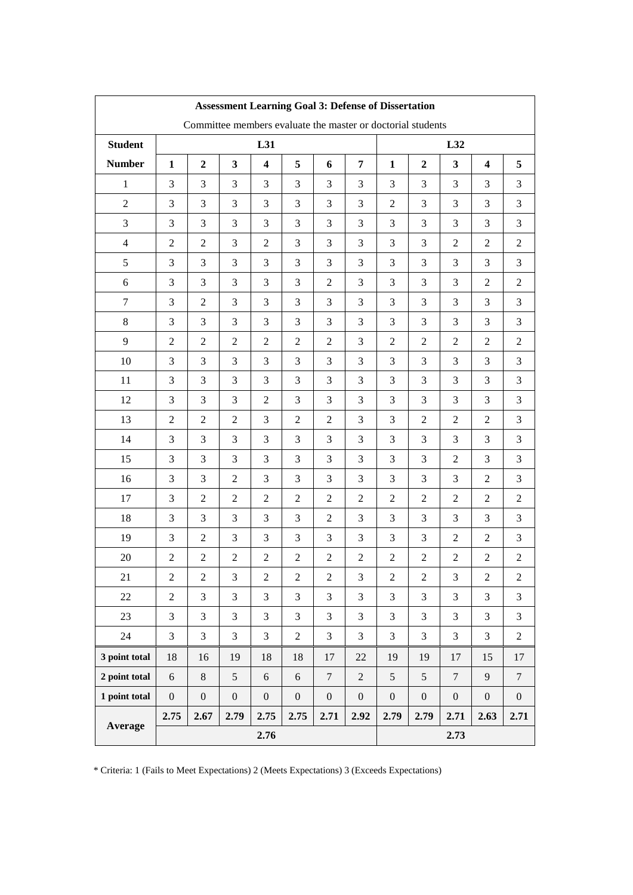| <b>Assessment Learning Goal 3: Defense of Dissertation</b> |                  |                  |                  |                         |                  |                                                             |                  |                  |                  |                  |                         |                |
|------------------------------------------------------------|------------------|------------------|------------------|-------------------------|------------------|-------------------------------------------------------------|------------------|------------------|------------------|------------------|-------------------------|----------------|
|                                                            |                  |                  |                  |                         |                  | Committee members evaluate the master or doctorial students |                  |                  |                  |                  |                         |                |
| <b>Student</b>                                             | L31              |                  |                  |                         |                  |                                                             |                  |                  |                  | L32              |                         |                |
| <b>Number</b>                                              | $\mathbf{1}$     | $\overline{2}$   | 3                | $\overline{\mathbf{4}}$ | 5                | 6                                                           | 7                | $\mathbf{1}$     | $\boldsymbol{2}$ | $\mathbf{3}$     | $\overline{\mathbf{4}}$ | 5              |
| $\mathbf{1}$                                               | 3                | 3                | 3                | 3                       | 3                | 3                                                           | 3                | 3                | 3                | 3                | 3                       | 3              |
| $\overline{2}$                                             | 3                | 3                | 3                | 3                       | 3                | $\mathfrak{Z}$                                              | 3                | $\overline{2}$   | 3                | 3                | 3                       | 3              |
| 3                                                          | 3                | 3                | 3                | 3                       | 3                | 3                                                           | 3                | 3                | 3                | 3                | 3                       | 3              |
| $\overline{4}$                                             | $\overline{2}$   | $\mathbf{2}$     | 3                | $\overline{2}$          | 3                | 3                                                           | 3                | 3                | 3                | $\overline{2}$   | 2                       | $\overline{2}$ |
| 5                                                          | 3                | 3                | 3                | 3                       | 3                | 3                                                           | 3                | 3                | 3                | 3                | 3                       | 3              |
| 6                                                          | 3                | 3                | 3                | 3                       | 3                | $\overline{2}$                                              | 3                | 3                | 3                | 3                | $\mathfrak{2}$          | $\overline{2}$ |
| $\tau$                                                     | 3                | 2                | 3                | 3                       | 3                | 3                                                           | 3                | 3                | 3                | 3                | 3                       | 3              |
| 8                                                          | 3                | 3                | 3                | 3                       | 3                | 3                                                           | 3                | 3                | 3                | 3                | 3                       | 3              |
| 9                                                          | $\overline{2}$   | 2                | $\overline{2}$   | $\overline{2}$          | 2                | $\overline{2}$                                              | 3                | $\overline{c}$   | $\overline{2}$   | $\overline{2}$   | 2                       | 2              |
| 10                                                         | 3                | 3                | 3                | 3                       | 3                | 3                                                           | 3                | 3                | 3                | 3                | 3                       | 3              |
| 11                                                         | 3                | 3                | 3                | 3                       | 3                | 3                                                           | 3                | 3                | 3                | 3                | 3                       | 3              |
| 12                                                         | 3                | 3                | 3                | $\overline{2}$          | 3                | 3                                                           | 3                | 3                | 3                | 3                | 3                       | 3              |
| 13                                                         | $\overline{2}$   | $\boldsymbol{2}$ | $\overline{2}$   | 3                       | $\sqrt{2}$       | $\overline{2}$                                              | 3                | $\mathfrak{Z}$   | $\overline{2}$   | $\overline{2}$   | $\mathbf{2}$            | $\mathfrak{Z}$ |
| 14                                                         | 3                | 3                | 3                | 3                       | 3                | 3                                                           | 3                | 3                | 3                | $\mathfrak{Z}$   | 3                       | 3              |
| 15                                                         | 3                | 3                | 3                | 3                       | 3                | 3                                                           | 3                | 3                | 3                | $\overline{2}$   | 3                       | 3              |
| 16                                                         | 3                | 3                | $\overline{2}$   | 3                       | 3                | 3                                                           | 3                | 3                | 3                | 3                | 2                       | 3              |
| 17                                                         | 3                | $\overline{2}$   | $\mathfrak{2}$   | $\overline{2}$          | $\overline{2}$   | $\overline{c}$                                              | $\overline{2}$   | $\overline{2}$   | $\mathfrak{2}$   | $\overline{2}$   | $\overline{c}$          | $\overline{c}$ |
| 18                                                         | 3                | 3                | 3                | 3                       | 3                | $\mathfrak{2}$                                              | 3                | 3                | 3                | 3                | 3                       | 3              |
| 19                                                         | 3                | 2                | 3                | 3                       | 3                | 3                                                           | 3                | 3                | 3                | $\overline{2}$   | $\overline{2}$          | 3              |
| 20                                                         | $\mathbf{2}$     | 2                | $\mathfrak{2}$   | $\mathbf{2}$            | 2                | $\mathfrak{2}$                                              | $\overline{2}$   | 2                | 2                | 2                | 2                       | $\overline{c}$ |
| 21                                                         | $\mathfrak 2$    | $\boldsymbol{2}$ | 3                | $\boldsymbol{2}$        | $\mathfrak{2}$   | $\mathfrak{2}$                                              | $\mathfrak{Z}$   | $\mathbf{2}$     | $\mathfrak 2$    | 3                | $\overline{2}$          | $\overline{c}$ |
| 22                                                         | $\overline{2}$   | 3                | 3                | 3                       | 3                | 3                                                           | 3                | 3                | 3                | 3                | 3                       | 3              |
| 23                                                         | 3                | 3                | 3                | 3                       | 3                | 3                                                           | 3                | 3                | 3                | 3                | 3                       | 3              |
| 24                                                         | 3                | 3                | 3                | $\overline{3}$          | $\sqrt{2}$       | 3                                                           | $\overline{3}$   | 3                | 3                | 3                | 3                       | $\overline{c}$ |
| 3 point total                                              | 18               | 16               | 19               | 18                      | 18               | 17                                                          | 22               | 19               | 19               | 17               | 15                      | 17             |
| 2 point total                                              | 6                | $8\,$            | 5                | 6                       | 6                | $\tau$                                                      | $\overline{2}$   | 5                | $\mathfrak{S}$   | $\overline{7}$   | 9                       | $\tau$         |
| 1 point total                                              | $\boldsymbol{0}$ | $\boldsymbol{0}$ | $\boldsymbol{0}$ | $\boldsymbol{0}$        | $\boldsymbol{0}$ | $\boldsymbol{0}$                                            | $\boldsymbol{0}$ | $\boldsymbol{0}$ | $\boldsymbol{0}$ | $\boldsymbol{0}$ | $\boldsymbol{0}$        | $\mathbf{0}$   |
| Average                                                    | 2.75             | 2.67             | 2.79             | 2.75                    | 2.75             | 2.71                                                        | 2.92             | 2.79             | 2.79             | 2.71             | 2.63                    | 2.71           |
|                                                            |                  | 2.76             |                  |                         |                  |                                                             |                  |                  |                  | 2.73             |                         |                |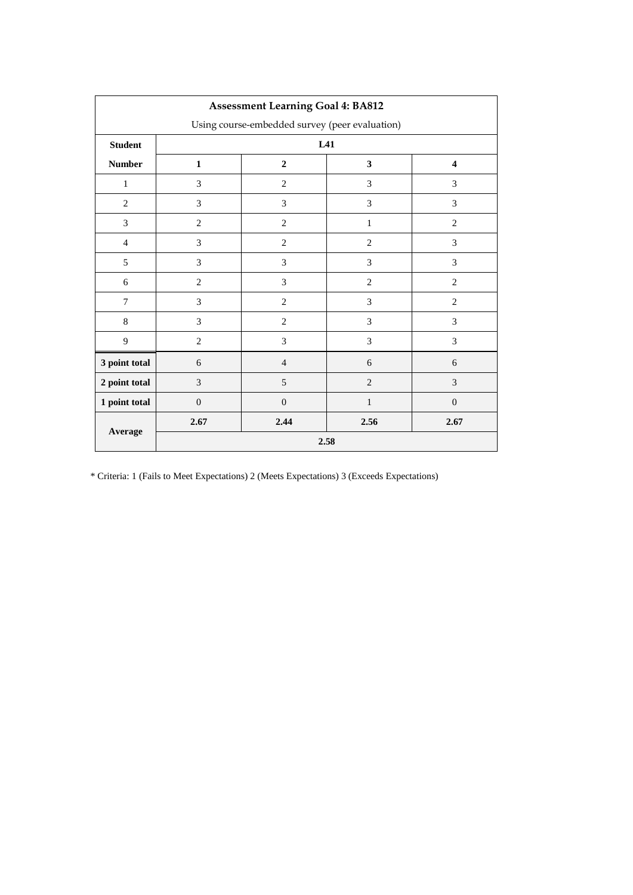| <b>Assessment Learning Goal 4: BA812</b>       |                |                                                           |                |                  |  |  |  |  |  |  |
|------------------------------------------------|----------------|-----------------------------------------------------------|----------------|------------------|--|--|--|--|--|--|
| Using course-embedded survey (peer evaluation) |                |                                                           |                |                  |  |  |  |  |  |  |
| <b>Student</b>                                 |                | L41                                                       |                |                  |  |  |  |  |  |  |
| <b>Number</b>                                  | $\mathbf{1}$   | $\overline{2}$<br>$\mathbf{3}$<br>$\overline{\mathbf{4}}$ |                |                  |  |  |  |  |  |  |
| $\mathbf{1}$                                   | 3              | $\overline{2}$                                            | 3              | 3                |  |  |  |  |  |  |
| $\overline{2}$                                 | 3              | 3                                                         | 3              | 3                |  |  |  |  |  |  |
| 3                                              | $\mathbf{2}$   | $\mathbf{2}$                                              | $\mathbf{1}$   | $\overline{2}$   |  |  |  |  |  |  |
| $\overline{4}$                                 | 3              | $\overline{c}$                                            | $\overline{c}$ | 3                |  |  |  |  |  |  |
| 5                                              | 3              | 3                                                         | 3              | 3                |  |  |  |  |  |  |
| 6                                              | $\overline{c}$ | 3                                                         | $\overline{c}$ | $\overline{2}$   |  |  |  |  |  |  |
| $\overline{7}$                                 | 3              | $\overline{2}$                                            | 3              | $\overline{2}$   |  |  |  |  |  |  |
| 8                                              | 3              | $\overline{2}$                                            | 3              | 3                |  |  |  |  |  |  |
| 9                                              | $\mathbf{2}$   | 3                                                         | 3              | 3                |  |  |  |  |  |  |
| 3 point total                                  | 6              | $\overline{4}$                                            | 6              | 6                |  |  |  |  |  |  |
| 2 point total                                  | $\mathfrak{Z}$ | 5                                                         | $\overline{2}$ | 3                |  |  |  |  |  |  |
| 1 point total                                  | $\mathbf{0}$   | $\mathbf{0}$                                              | $\mathbf{1}$   | $\boldsymbol{0}$ |  |  |  |  |  |  |
|                                                | 2.67           | 2.44                                                      | 2.56           | 2.67             |  |  |  |  |  |  |
| Average                                        |                | 2.58                                                      |                |                  |  |  |  |  |  |  |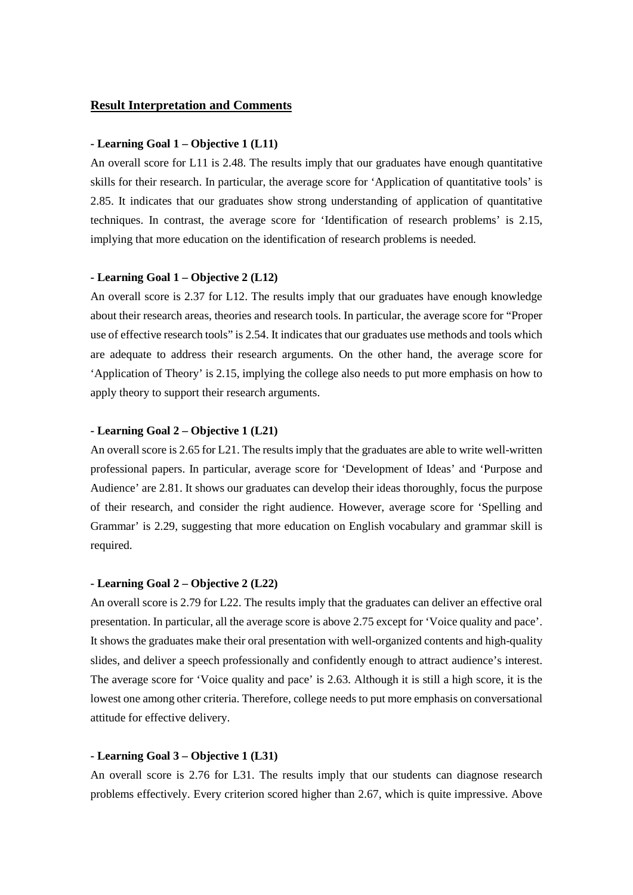#### **Result Interpretation and Comments**

#### **- Learning Goal 1 – Objective 1 (L11)**

An overall score for L11 is 2.48. The results imply that our graduates have enough quantitative skills for their research. In particular, the average score for 'Application of quantitative tools' is 2.85. It indicates that our graduates show strong understanding of application of quantitative techniques. In contrast, the average score for 'Identification of research problems' is 2.15, implying that more education on the identification of research problems is needed.

#### **- Learning Goal 1 – Objective 2 (L12)**

An overall score is 2.37 for L12. The results imply that our graduates have enough knowledge about their research areas, theories and research tools. In particular, the average score for "Proper use of effective research tools" is 2.54. It indicates that our graduates use methods and tools which are adequate to address their research arguments. On the other hand, the average score for 'Application of Theory' is 2.15, implying the college also needs to put more emphasis on how to apply theory to support their research arguments.

## **- Learning Goal 2 – Objective 1 (L21)**

An overall score is 2.65 for L21. The results imply that the graduates are able to write well-written professional papers. In particular, average score for 'Development of Ideas' and 'Purpose and Audience' are 2.81. It shows our graduates can develop their ideas thoroughly, focus the purpose of their research, and consider the right audience. However, average score for 'Spelling and Grammar' is 2.29, suggesting that more education on English vocabulary and grammar skill is required.

#### **- Learning Goal 2 – Objective 2 (L22)**

An overall score is 2.79 for L22. The results imply that the graduates can deliver an effective oral presentation. In particular, all the average score is above 2.75 except for 'Voice quality and pace'. It shows the graduates make their oral presentation with well-organized contents and high-quality slides, and deliver a speech professionally and confidently enough to attract audience's interest. The average score for 'Voice quality and pace' is 2.63. Although it is still a high score, it is the lowest one among other criteria. Therefore, college needs to put more emphasis on conversational attitude for effective delivery.

## **- Learning Goal 3 – Objective 1 (L31)**

An overall score is 2.76 for L31. The results imply that our students can diagnose research problems effectively. Every criterion scored higher than 2.67, which is quite impressive. Above